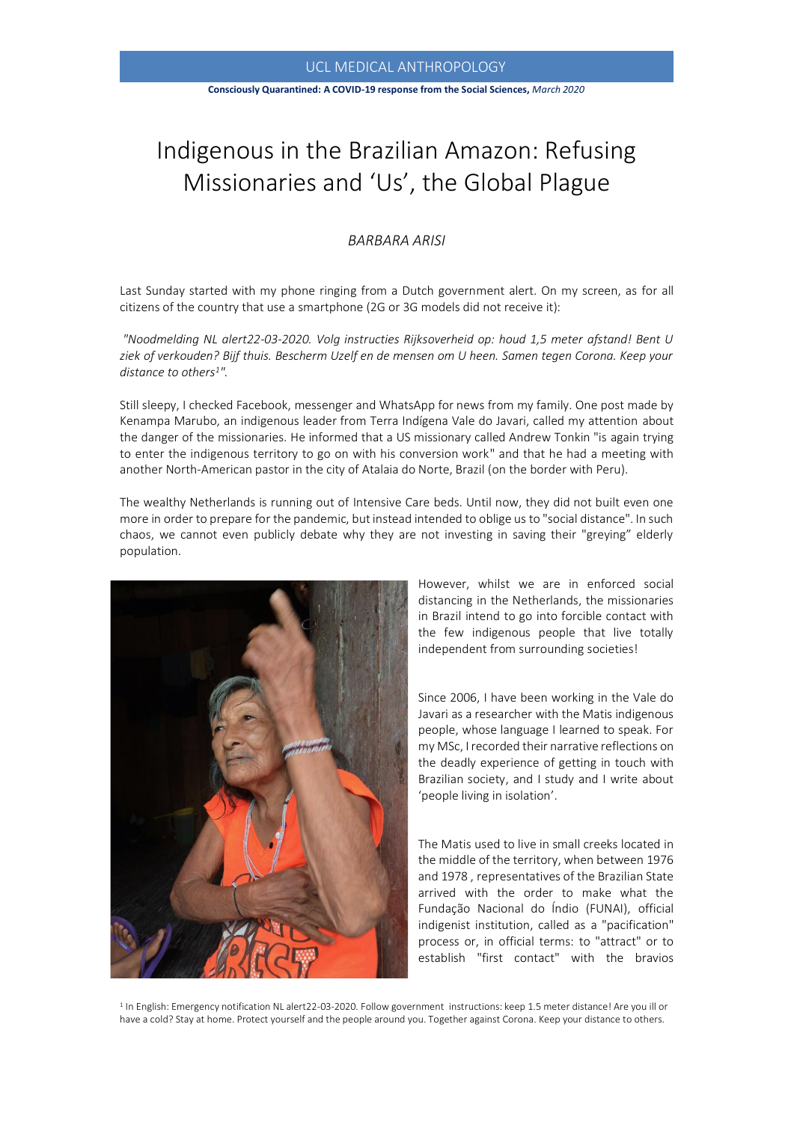#### **Consciously Quarantined: A COVID-19 response from the Social Sciences,** *March 2020*

# Indigenous in the Brazilian Amazon: Refusing Missionaries and 'Us', the Global Plague

## *BARBARA ARISI*

Last Sunday started with my phone ringing from a Dutch government alert. On my screen, as for all citizens of the country that use a smartphone (2G or 3G models did not receive it):

*"Noodmelding NL alert22-03-2020. Volg instructies Rijksoverheid op: houd 1,5 meter afstand! Bent U ziek of verkouden? Bijf thuis. Bescherm Uzelf en de mensen om U heen. Samen tegen Corona. Keep your distance to others<sup>1</sup> ".* 

Still sleepy, I checked Facebook, messenger and WhatsApp for news from my family. One post made by Kenampa Marubo, an indigenous leader from Terra Indígena Vale do Javari, called my attention about the danger of the missionaries. He informed that a US missionary called Andrew Tonkin "is again trying to enter the indigenous territory to go on with his conversion work" and that he had a meeting with another North-American pastor in the city of Atalaia do Norte, Brazil (on the border with Peru).

The wealthy Netherlands is running out of [Intensive Care](https://www.volkskrant.nl/nieuws-achtergrond/klacht-ic-artsen-regie-mist-bij-verdeling-patienten-rivm-verspreiding-corona-lijkt-te-zijn-afgeremd~bcd7549c/) beds. Until now, they did not built even one more in order to prepare for the pandemic, but instead intended to oblige us to "social distance". In such chaos, we cannot even publicly debate why they are not investing in saving their "greying" elderly population.



However, whilst we are in enforced social distancing in the Netherlands, the missionaries in Brazil intend to go into forcible contact with the few indigenous people that live totally independent from surrounding societies!

Since 2006, I have been working in the Vale do Javari as a researcher with the Matis indigenous people, whose language I learned to speak. For my MSc, I recorded their narrative reflections on the deadly experience of getting in touch with Brazilian society, and I study and I write about 'people living in isolation'.

The Matis used to live in small creeks located in the middle of the territory, when between 1976 and 1978 , representatives of the Brazilian State arrived with the order to make what the Fundação Nacional do Índio (FUNAI), official indigenist institution, called as a "pacification" process or, in official terms: to "attract" or to establish "first contact" with the bravios

<sup>1</sup> In English: Emergency notification NL alert22-03-2020. Follow government instructions: keep 1.5 meter distance! Are you ill or have a cold? Stay at home. Protect yourself and the people around you. Together against Corona. Keep your distance to others.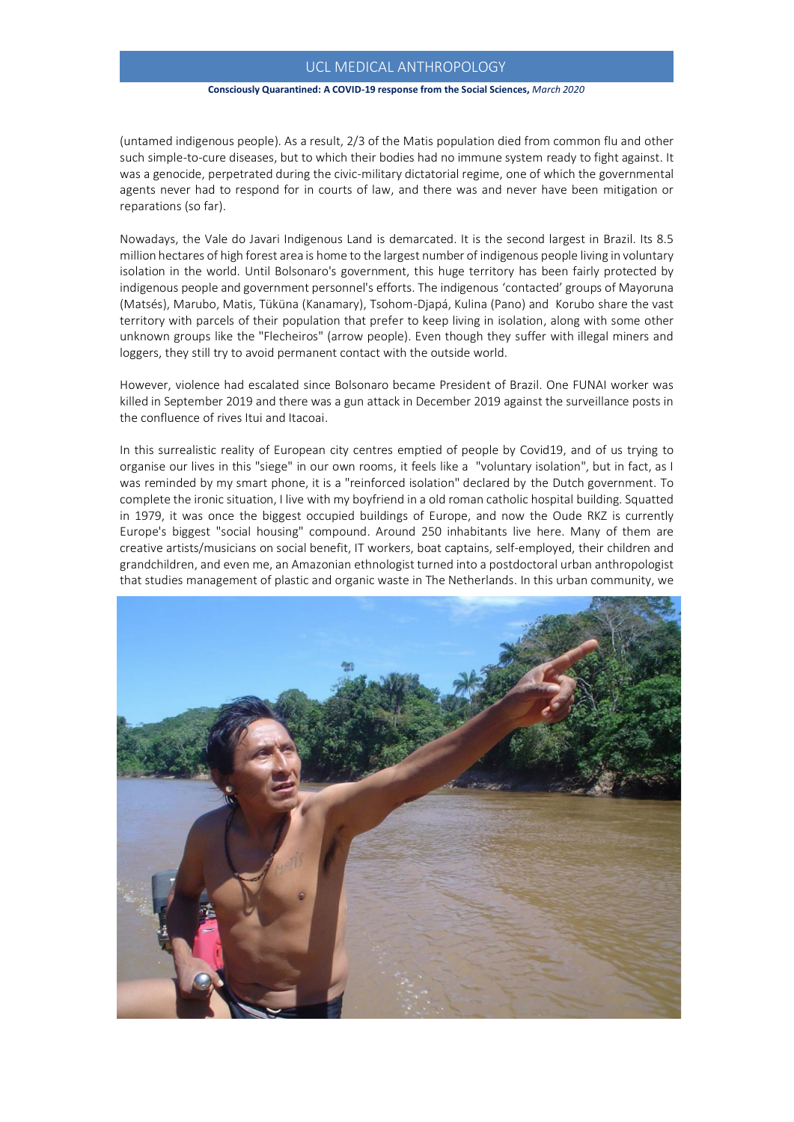#### **Consciously Quarantined: A COVID-19 response from the Social Sciences,** *March 2020*

(untamed indigenous people). As a result, 2/3 of the Matis population died from common flu and other such simple-to-cure diseases, but to which their bodies had no immune system ready to fight against. It was a genocide, perpetrated during the civic-military dictatorial regime, one of which the governmental agents never had to respond for in courts of law, and there was and never have been mitigation or reparations (so far).

Nowadays, the Vale do Javari Indigenous Land is demarcated. It is the second largest in Brazil. Its 8.5 million hectares of high forest area is home to the largest number of indigenous people living in voluntary isolation in the world. Until Bolsonaro's government, this huge territory has been fairly protected by indigenous people and government personnel's efforts. The indigenous 'contacted' groups of Mayoruna (Matsés), Marubo, Matis, Tüküna (Kanamary), Tsohom-Djapá, Kulina (Pano) and Korubo share the vast territory with parcels of their population that prefer to keep living in isolation, along with some other unknown groups like the "Flecheiros" (arrow people). Even though they suffer with illegal miners and loggers, they still try to avoid permanent contact with the outside world.

However, violence had escalated [since Bolsonaro became President of Brazil.](https://amazoniareal.com.br/indigenous-blood-and-european-hypocrisy/) One FUNAI worker was killed in September 2019 and there was a gun attack in December 2019 against the surveillance posts in the confluence of rives Itui and Itacoai.

In this surrealistic reality of European city centres emptied of people by Covid19, and of us trying to organise our lives in this "siege" in our own rooms, it feels like a "voluntary isolation", but in fact, as I was reminded by my smart phone, it is a "reinforced isolation" declared by the Dutch government. To complete the ironic situation, I live with my boyfriend in [a old roman catholic hospital](https://www.orkz.net/en/home/_01.ouderkz/history) building. Squatted in 1979, it was once the biggest occupied buildings of Europe, and now the [Oude RKZ](https://www.orkz.net/en/) is currently Europe's biggest "social housing" compound. Around 250 inhabitants live here. Many of them are creative artists/musicians on social benefit, IT workers, boat captains, self-employed, their children and grandchildren, and even me, an Amazonian ethnologist turned into a postdoctoral urban anthropologist that studies management of plastic and organic waste in The Netherlands. In this urban community, we

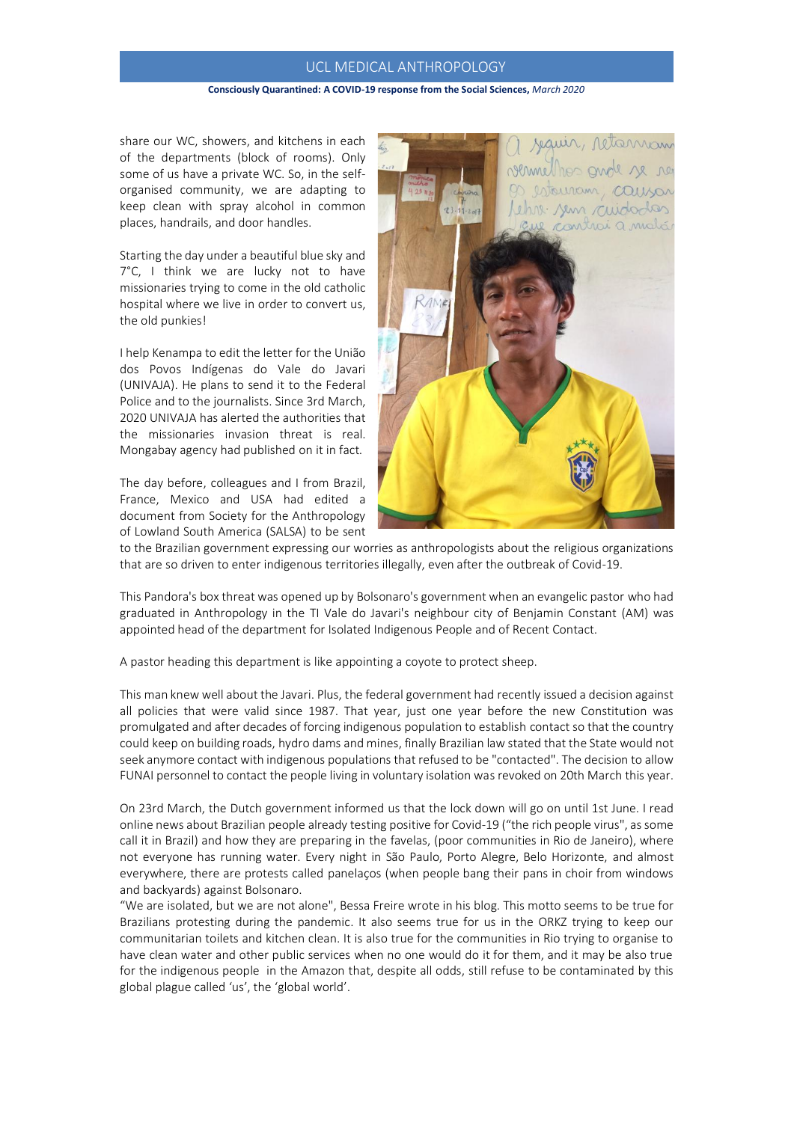#### **Consciously Quarantined: A COVID-19 response from the Social Sciences,** *March 2020*

share our WC, showers, and kitchens in each of the departments (block of rooms). Only some of us have a private WC. So, in the selforganised community, we are adapting to keep clean with spray alcohol in common places, handrails, and door handles.

Starting the day under a beautiful blue sky and 7°C, I think we are lucky not to have missionaries trying to come in the old catholic hospital where we live in order to convert us, the old punkies!

I help Kenampa to edit the letter for the União dos Povos Indígenas do Vale do Javari (UNIVAJA). He plans to send it to the Federal Police and to the journalists. Since 3rd March, 2020 UNIVAJA has alerted the authorities that the missionaries invasion threat is real. Mongabay [agency had published on](https://news.mongabay.com/2020/03/bringing-christ-and-coronavirus-evangelicals-to-contact-amazon-indigenous/) it in fact.

The day before, colleagues and I from Brazil, France, Mexico and USA had edited a document from Society for the Anthropology of Lowland South America (SALSA) to be sent



to the Brazilian government expressing our worries as anthropologists about the religious organizations that are so driven to enter indigenous territories illegally, even after the outbreak of Covid-19.

This Pandora's box threat was opened up by Bolsonaro's government when an evangelic pastor who had graduated in Anthropology in the TI Vale do Javari's neighbour city of Benjamin Constant (AM) was appointed head of the department for Isolated Indigenous People and of Recent Contact.

A pastor heading this department is like appointing a coyote to protect sheep.

This man knew well about the Javari. Plus, the federal government had recently issued a decision against all policies that were valid since 1987. That year, just one year before the new Constitution was promulgated and after decades of forcing indigenous population to establish contact so that the country could keep on building roads, hydro dams and mines, finally Brazilian law stated that the State would not seek anymore contact with indigenous populations that refused to be "contacted". The decision to allow FUNAI personnel to contact the people living in voluntary isolation was revoked on 20th March this year.

On 23rd March, the Dutch government informed us that the lock down will go on until 1st June. I read online news about Brazilian people already testing positive for Covid-19 ("the rich people virus", as some call it in Brazil) and how they are preparing in [the favelas, \(poor communities in Rio de Janeiro\)](https://epoca.globo.com/sociedade/como-virus-de-rico-alterou-rotina-na-favela-da-mare-1-24318789), where not everyone has running water. Every night in São Paulo, Porto Alegre, Belo Horizonte, and almost everywhere, there are protests called panelaços (when people bang their pans in choir from windows and backyards) against Bolsonaro.

"We are isolated, but we are not alone"[, Bessa Freire](http://www.taquiprati.com.br/cronica/1514-na-quarentena-isolados-sim-sozinhos-nunca) wrote i[n his blog.](http://www.taquiprati.com.br/cronica/1514-na-quarentena-isolados-sim-sozinhos-nunca) This motto seems to be true for Brazilians protesting during the pandemic. It also seems true for us in the ORKZ trying to keep our communitarian toilets and kitchen clean. It is also true for the communities in Rio trying to organise to have clean water and other public services when no one would do it for them, and it may be also true for the indigenous people in the Amazon that, despite all odds, still refuse to be contaminated by this global plague called 'us', the 'global world'.